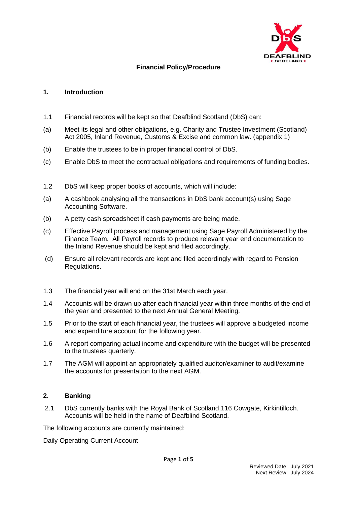

# **Financial Policy/Procedure**

## **1. Introduction**

- 1.1 Financial records will be kept so that Deafblind Scotland (DbS) can:
- (a) Meet its legal and other obligations, e.g. Charity and Trustee Investment (Scotland) Act 2005, Inland Revenue, Customs & Excise and common law. (appendix 1)
- (b) Enable the trustees to be in proper financial control of DbS.
- (c) Enable DbS to meet the contractual obligations and requirements of funding bodies.
- 1.2 DbS will keep proper books of accounts, which will include:
- (a) A cashbook analysing all the transactions in DbS bank account(s) using Sage Accounting Software.
- (b) A petty cash spreadsheet if cash payments are being made.
- (c) Effective Payroll process and management using Sage Payroll Administered by the Finance Team. All Payroll records to produce relevant year end documentation to the Inland Revenue should be kept and filed accordingly.
- (d) Ensure all relevant records are kept and filed accordingly with regard to Pension Regulations.
- 1.3 The financial year will end on the 31st March each year.
- 1.4 Accounts will be drawn up after each financial year within three months of the end of the year and presented to the next Annual General Meeting.
- 1.5 Prior to the start of each financial year, the trustees will approve a budgeted income and expenditure account for the following year.
- 1.6 A report comparing actual income and expenditure with the budget will be presented to the trustees quarterly.
- 1.7 The AGM will appoint an appropriately qualified auditor/examiner to audit/examine the accounts for presentation to the next AGM.

# **2. Banking**

2.1 DbS currently banks with the Royal Bank of Scotland,116 Cowgate, Kirkintilloch. Accounts will be held in the name of Deafblind Scotland.

The following accounts are currently maintained:

Daily Operating Current Account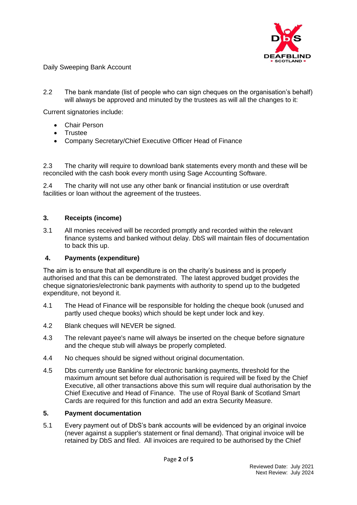

Daily Sweeping Bank Account

2.2 The bank mandate (list of people who can sign cheques on the organisation's behalf) will always be approved and minuted by the trustees as will all the changes to it:

Current signatories include:

- Chair Person
- Trustee
- Company Secretary/Chief Executive Officer Head of Finance

2.3 The charity will require to download bank statements every month and these will be reconciled with the cash book every month using Sage Accounting Software.

2.4 The charity will not use any other bank or financial institution or use overdraft facilities or loan without the agreement of the trustees.

#### **3. Receipts (income)**

3.1 All monies received will be recorded promptly and recorded within the relevant finance systems and banked without delay. DbS will maintain files of documentation to back this up.

#### **4. Payments (expenditure)**

The aim is to ensure that all expenditure is on the charity's business and is properly authorised and that this can be demonstrated. The latest approved budget provides the cheque signatories/electronic bank payments with authority to spend up to the budgeted expenditure, not beyond it.

- 4.1 The Head of Finance will be responsible for holding the cheque book (unused and partly used cheque books) which should be kept under lock and key.
- 4.2 Blank cheques will NEVER be signed.
- 4.3 The relevant payee's name will always be inserted on the cheque before signature and the cheque stub will always be properly completed.
- 4.4 No cheques should be signed without original documentation.
- 4.5 Dbs currently use Bankline for electronic banking payments, threshold for the maximum amount set before dual authorisation is required will be fixed by the Chief Executive, all other transactions above this sum will require dual authorisation by the Chief Executive and Head of Finance. The use of Royal Bank of Scotland Smart Cards are required for this function and add an extra Security Measure.

#### **5. Payment documentation**

5.1 Every payment out of DbS's bank accounts will be evidenced by an original invoice (never against a supplier's statement or final demand). That original invoice will be retained by DbS and filed. All invoices are required to be authorised by the Chief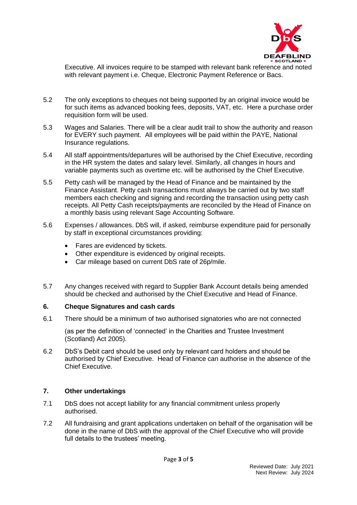

Executive. All invoices require to be stamped with relevant bank reference and noted with relevant payment i.e. Cheque, Electronic Payment Reference or Bacs.

- 5.2 The only exceptions to cheques not being supported by an original invoice would be for such items as advanced booking fees, deposits, VAT, etc. Here a purchase order requisition form will be used.
- 5.3 Wages and Salaries. There will be a clear audit trail to show the authority and reason for EVERY such payment. All employees will be paid within the PAYE, National Insurance regulations.
- 5.4 All staff appointments/departures will be authorised by the Chief Executive, recording in the HR system the dates and salary level. Similarly, all changes in hours and variable payments such as overtime etc. will be authorised by the Chief Executive.
- 5.5 Petty cash will be managed by the Head of Finance and be maintained by the Finance Assistant. Petty cash transactions must always be carried out by two staff members each checking and signing and recording the transaction using petty cash receipts. All Petty Cash receipts/payments are reconciled by the Head of Finance on a monthly basis using relevant Sage Accounting Software.
- 5.6 Expenses / allowances. DbS will, if asked, reimburse expenditure paid for personally by staff in exceptional circumstances providing:
	- Fares are evidenced by tickets.
	- Other expenditure is evidenced by original receipts.
	- Car mileage based on current DbS rate of 26p/mile.
- 5.7 Any changes received with regard to Supplier Bank Account details being amended should be checked and authorised by the Chief Executive and Head of Finance.

#### **6. Cheque Signatures and cash cards**

6.1 There should be a minimum of two authorised signatories who are not connected

(as per the definition of 'connected' in the Charities and Trustee Investment (Scotland) Act 2005).

6.2 DbS's Debit card should be used only by relevant card holders and should be authorised by Chief Executive. Head of Finance can authorise in the absence of the Chief Executive.

## **7. Other undertakings**

- 7.1 DbS does not accept liability for any financial commitment unless properly authorised.
- 7.2 All fundraising and grant applications undertaken on behalf of the organisation will be done in the name of DbS with the approval of the Chief Executive who will provide full details to the trustees' meeting.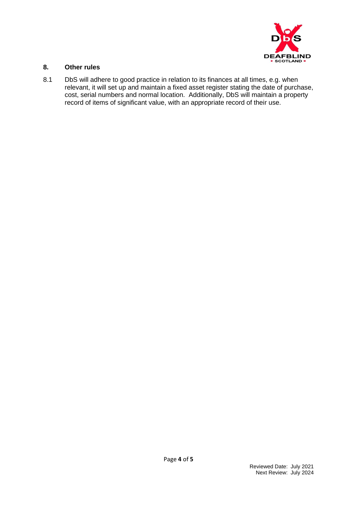

## **8. Other rules**

8.1 DbS will adhere to good practice in relation to its finances at all times, e.g. when relevant, it will set up and maintain a fixed asset register stating the date of purchase, cost, serial numbers and normal location. Additionally, DbS will maintain a property record of items of significant value, with an appropriate record of their use.